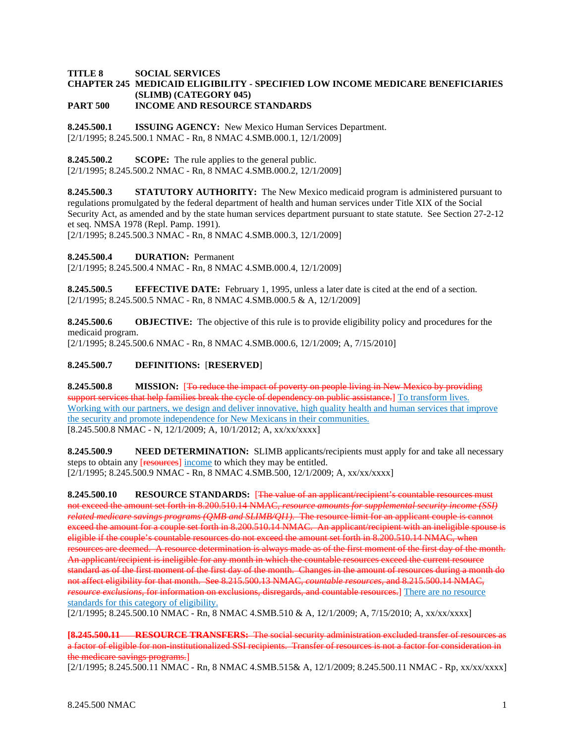## **TITLE 8 SOCIAL SERVICES CHAPTER 245 MEDICAID ELIGIBILITY - SPECIFIED LOW INCOME MEDICARE BENEFICIARIES (SLIMB) (CATEGORY 045) PART 500 INCOME AND RESOURCE STANDARDS**

**8.245.500.1 ISSUING AGENCY:** New Mexico Human Services Department. [2/1/1995; 8.245.500.1 NMAC - Rn, 8 NMAC 4.SMB.000.1, 12/1/2009]

**8.245.500.2 SCOPE:** The rule applies to the general public.

[2/1/1995; 8.245.500.2 NMAC - Rn, 8 NMAC 4.SMB.000.2, 12/1/2009]

**8.245.500.3 STATUTORY AUTHORITY:** The New Mexico medicaid program is administered pursuant to regulations promulgated by the federal department of health and human services under Title XIX of the Social Security Act, as amended and by the state human services department pursuant to state statute. See Section 27-2-12 et seq. NMSA 1978 (Repl. Pamp. 1991).

[2/1/1995; 8.245.500.3 NMAC - Rn, 8 NMAC 4.SMB.000.3, 12/1/2009]

**8.245.500.4 DURATION:** Permanent

[2/1/1995; 8.245.500.4 NMAC - Rn, 8 NMAC 4.SMB.000.4, 12/1/2009]

**8.245.500.5 EFFECTIVE DATE:** February 1, 1995, unless a later date is cited at the end of a section. [2/1/1995; 8.245.500.5 NMAC - Rn, 8 NMAC 4.SMB.000.5 & A, 12/1/2009]

**8.245.500.6 OBJECTIVE:** The objective of this rule is to provide eligibility policy and procedures for the medicaid program.

[2/1/1995; 8.245.500.6 NMAC - Rn, 8 NMAC 4.SMB.000.6, 12/1/2009; A, 7/15/2010]

## **8.245.500.7 DEFINITIONS:** [**RESERVED**]

**8.245.500.8 MISSION:** [To reduce the impact of poverty on people living in New Mexico by providing support services that help families break the cycle of dependency on public assistance.] To transform lives. Working with our partners, we design and deliver innovative, high quality health and human services that improve the security and promote independence for New Mexicans in their communities. [8.245.500.8 NMAC - N, 12/1/2009; A, 10/1/2012; A, xx/xx/xxxx]

**8.245.500.9 NEED DETERMINATION:** SLIMB applicants/recipients must apply for and take all necessary steps to obtain any [resources] income to which they may be entitled. [2/1/1995; 8.245.500.9 NMAC - Rn, 8 NMAC 4.SMB.500, 12/1/2009; A, xx/xx/xxxx]

**8.245.500.10 RESOURCE STANDARDS:** [The value of an applicant/recipient's countable resources must not exceed the amount set forth in 8.200.510.14 NMAC, *resource amounts for supplemental security income (SSI) related medicare savings programs (QMB and SLIMB/QI1).* The resource limit for an applicant couple is cannot exceed the amount for a couple set forth in 8.200.510.14 NMAC. An applicant/recipient with an ineligible spouse is eligible if the couple's countable resources do not exceed the amount set forth in 8.200.510.14 NMAC, when resources are deemed. A resource determination is always made as of the first moment of the first day of the month. An applicant/recipient is ineligible for any month in which the countable resources exceed the current resource standard as of the first moment of the first day of the month. Changes in the amount of resources during a month do not affect eligibility for that month. See 8.215.500.13 NMAC, *countable resources,* and 8.215.500.14 NMAC, *resource exclusions*, for information on exclusions, disregards, and countable resources.] There are no resource standards for this category of eligibility.

[2/1/1995; 8.245.500.10 NMAC - Rn, 8 NMAC 4.SMB.510 & A, 12/1/2009; A, 7/15/2010; A, xx/xx/xxxx]

**[8.245.500.11 RESOURCE TRANSFERS:** The social security administration excluded transfer of resources as a factor of eligible for non-institutionalized SSI recipients. Transfer of resources is not a factor for consideration in the medicare savings programs.]

[2/1/1995; 8.245.500.11 NMAC - Rn, 8 NMAC 4.SMB.515& A, 12/1/2009; 8.245.500.11 NMAC - Rp, xx/xx/xxxx]